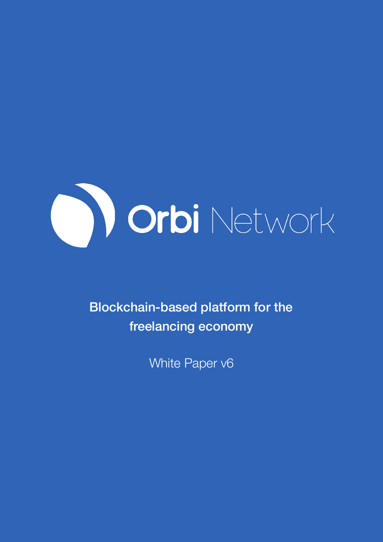

Blockchain-based platform for the freelancing economy

White Paper v6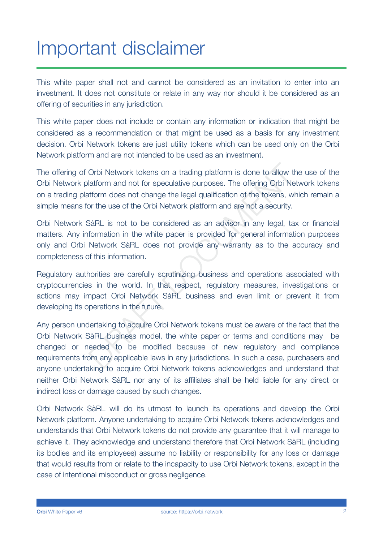## Important disclaimer

This white paper shall not and cannot be considered as an invitation to enter into an investment. It does not constitute or relate in any way nor should it be considered as an offering of securities in any jurisdiction.

This white paper does not include or contain any information or indication that might be considered as a recommendation or that might be used as a basis for any investment decision. Orbi Network tokens are just utility tokens which can be used only on the Orbi Network platform and are not intended to be used as an investment.

The offering of Orbi Network tokens on a trading platform is done to allow the use of the Orbi Network platform and not for speculative purposes. The offering Orbi Network tokens on a trading platform does not change the legal qualification of the tokens, which remain a simple means for the use of the Orbi Network platform and are not a security.

Orbi Network SàRL is not to be considered as an advisor in any legal, tax or financial matters. Any information in the white paper is provided for general information purposes only and Orbi Network SàRL does not provide any warranty as to the accuracy and completeness of this information.

Regulatory authorities are carefully scrutinizing business and operations associated with cryptocurrencies in the world. In that respect, regulatory measures, investigations or actions may impact Orbi Network SàRL business and even limit or prevent it from developing its operations in the future.

Any person undertaking to acquire Orbi Network tokens must be aware of the fact that the Orbi Network SàRL business model, the white paper or terms and conditions may be changed or needed to be modified because of new regulatory and compliance requirements from any applicable laws in any jurisdictions. In such a case, purchasers and anyone undertaking to acquire Orbi Network tokens acknowledges and understand that neither Orbi Network SàRL nor any of its affiliates shall be held liable for any direct or indirect loss or damage caused by such changes. Orbi Network tokens on a trading platform is done to allow the latform and not for speculative purposes. The offering Orbi Network is a<br>titor does not change the legal qualification of the tokens, when the use of the Orbi

Orbi Network SàRL will do its utmost to launch its operations and develop the Orbi Network platform. Anyone undertaking to acquire Orbi Network tokens acknowledges and understands that Orbi Network tokens do not provide any guarantee that it will manage to achieve it. They acknowledge and understand therefore that Orbi Network SàRL (including its bodies and its employees) assume no liability or responsibility for any loss or damage that would results from or relate to the incapacity to use Orbi Network tokens, except in the case of intentional misconduct or gross negligence.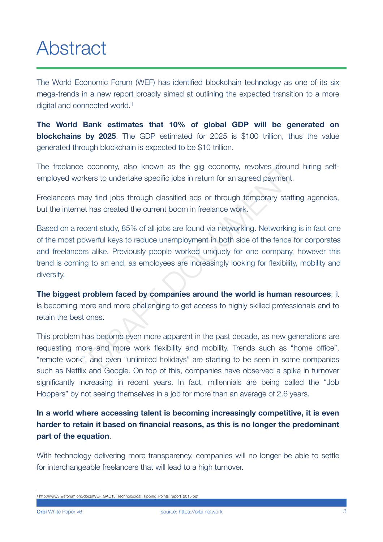## Abstract

The World Economic Forum (WEF) has identified blockchain technology as one of its six mega-trends in a new report broadly aimed at outlining the expected transition to a more digital and connected world[.1](#page-2-0)

<span id="page-2-1"></span>**The World Bank estimates that 10% of global GDP will be generated on blockchains by 2025**. The GDP estimated for 2025 is \$100 trillion, thus the value generated through blockchain is expected to be \$10 trillion.

The freelance economy, also known as the gig economy, revolves around hiring selfemployed workers to undertake specific jobs in return for an agreed payment.

Freelancers may find jobs through classified ads or through temporary staffing agencies, but the internet has created the current boom in freelance work.

Based on a recent study, 85% of all jobs are found via networking. Networking is in fact one of the most powerful keys to reduce unemployment in both side of the fence for corporates and freelancers alike. Previously people worked uniquely for one company, however this trend is coming to an end, as employees are increasingly looking for flexibility, mobility and diversity. economy, also known as the gig economy, revolves around<br>ers to undertake specific jobs in return for an agreed payment.<br>
y find jobs through classified ads or through temporary staffi<br>
has created the current boom in freel

**The biggest problem faced by companies around the world is human resources**; it is becoming more and more challenging to get access to highly skilled professionals and to retain the best ones.

This problem has become even more apparent in the past decade, as new generations are requesting more and more work flexibility and mobility. Trends such as "home office", "remote work", and even "unlimited holidays" are starting to be seen in some companies such as Netflix and Google. On top of this, companies have observed a spike in turnover significantly increasing in recent years. In fact, millennials are being called the "Job Hoppers" by not seeing themselves in a job for more than an average of 2.6 years.

**In a world where accessing talent is becoming increasingly competitive, it is even harder to retain it based on financial reasons, as this is no longer the predominant part of the equation**.

With technology delivering more transparency, companies will no longer be able to settle for interchangeable freelancers that will lead to a high turnover.

<span id="page-2-0"></span>[<sup>1</sup>](#page-2-1) [http://www3.weforum.org/docs/WEF\\_GAC15\\_Technological\\_Tipping\\_Points\\_report\\_2015.pdf](http://www3.weforum.org/docs/WEF_GAC15_Technological_Tipping_Points_report_2015.pdf)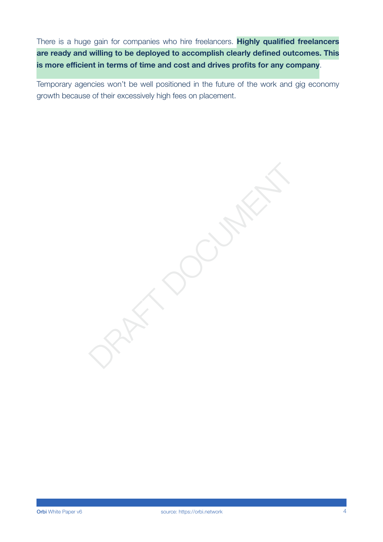There is a huge gain for companies who hire freelancers. **Highly qualified freelancers are ready and willing to be deployed to accomplish clearly defined outcomes. This is more efficient in terms of time and cost and drives profits for any company**.

Temporary agencies won't be well positioned in the future of the work and gig economy growth because of their excessively high fees on placement.

PART DOCUMENT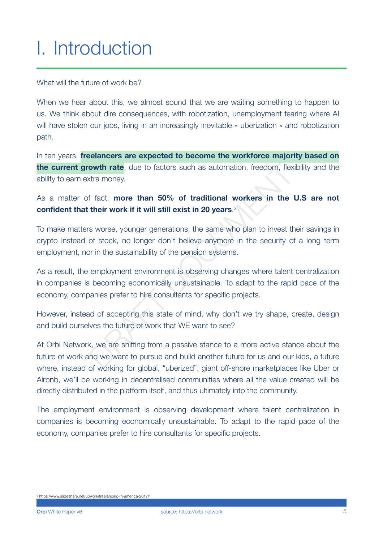# I. Introduction

#### What will the future of work be?

When we hear about this, we almost sound that we are waiting something to happen to us. We think about dire consequences, with robotization, unemployment fearing where AI will have stolen our jobs, living in an increasingly inevitable « uberization » and robotization path.

In ten years, **freelancers are expected to become the workforce majority based on the current growth rate**, due to factors such as automation, freedom, flexibility and the ability to earn extra money.

### <span id="page-4-1"></span>As a matter of fact, **more than 50% of traditional workers in the U.S are not confident that their work if it will still exist in 20 years**. 2

To make matters worse, younger generations, the same who plan to invest their savings in crypto instead of stock, no longer don't believe anymore in the security of a long term employment, nor in the sustainability of the pension systems. **owth rate**, due to factors such as automation, freedom, flexity that their work if and **50% of traditional workers in the 1**<br> **their work if it will still exist in 20 years.<sup>2</sup><br>
s worse, younger generations, the same who** 

As a result, the employment environment is observing changes where talent centralization in companies is becoming economically unsustainable. To adapt to the rapid pace of the economy, companies prefer to hire consultants for specific projects.

However, instead of accepting this state of mind, why don't we try shape, create, design and build ourselves the future of work that WE want to see?

At Orbi Network, we are shifting from a passive stance to a more active stance about the future of work and we want to pursue and build another future for us and our kids, a future where, instead of working for global, "uberized", giant off-shore marketplaces like Uber or Airbnb, we'll be working in decentralised communities where all the value created will be directly distributed in the platform itself, and thus ultimately into the community.

The employment environment is observing development where talent centralization in companies is becoming economically unsustainable. To adapt to the rapid pace of the economy, companies prefer to hire consultants for specific projects.

<span id="page-4-0"></span>[<sup>2</sup>](#page-4-1) <https://www.slideshare.net/upwork/freelancing-in-america-2017/1>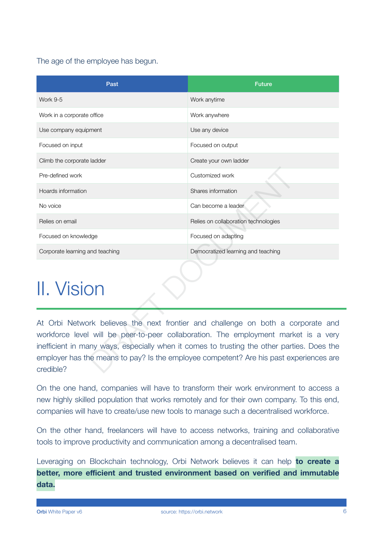### The age of the employee has begun.

| Past                            | <b>Future</b>                                                                                                                                                                                                                                                                                                                                                   |
|---------------------------------|-----------------------------------------------------------------------------------------------------------------------------------------------------------------------------------------------------------------------------------------------------------------------------------------------------------------------------------------------------------------|
| <b>Work 9-5</b>                 | Work anytime                                                                                                                                                                                                                                                                                                                                                    |
| Work in a corporate office      | Work anywhere                                                                                                                                                                                                                                                                                                                                                   |
| Use company equipment           | Use any device                                                                                                                                                                                                                                                                                                                                                  |
| Focused on input                | Focused on output                                                                                                                                                                                                                                                                                                                                               |
| Climb the corporate ladder      | Create your own ladder                                                                                                                                                                                                                                                                                                                                          |
| Pre-defined work                | Customized work                                                                                                                                                                                                                                                                                                                                                 |
| Hoards information              | Shares information                                                                                                                                                                                                                                                                                                                                              |
| No voice                        | Can become a leader                                                                                                                                                                                                                                                                                                                                             |
| Relies on email                 | Relies on collaboration technologies                                                                                                                                                                                                                                                                                                                            |
| Focused on knowledge            | Focused on adapting                                                                                                                                                                                                                                                                                                                                             |
| Corporate learning and teaching | Democratized learning and teaching                                                                                                                                                                                                                                                                                                                              |
| II. Vision                      |                                                                                                                                                                                                                                                                                                                                                                 |
| credible?                       | At Orbi Network believes the next frontier and challenge on both a corporate and<br>workforce level will be peer-to-peer collaboration. The employment market is a very<br>inefficient in many ways, especially when it comes to trusting the other parties. Does the<br>employer has the means to pay? Is the employee competent? Are his past experiences are |

## II. Vision

On the one hand, companies will have to transform their work environment to access a new highly skilled population that works remotely and for their own company. To this end, companies will have to create/use new tools to manage such a decentralised workforce.

On the other hand, freelancers will have to access networks, training and collaborative tools to improve productivity and communication among a decentralised team.

Leveraging on Blockchain technology, Orbi Network believes it can help **to create a better, more efficient and trusted environment based on verified and immutable data.**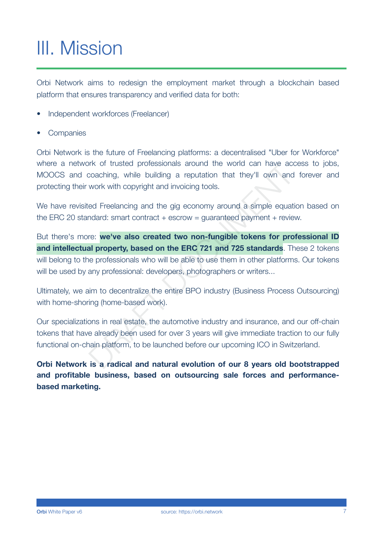# III. Mission

Orbi Network aims to redesign the employment market through a blockchain based platform that ensures transparency and verified data for both:

- Independent workforces (Freelancer)
- Companies

Orbi Network is the future of Freelancing platforms: a decentralised "Uber for Workforce" where a network of trusted professionals around the world can have access to jobs, MOOCS and coaching, while building a reputation that they'll own and forever and protecting their work with copyright and invoicing tools.

We have revisited Freelancing and the gig economy around a simple equation based on the ERC 20 standard: smart contract + escrow = guaranteed payment + review.

But there's more: **we've also created two non-fungible tokens for professional ID and intellectual property, based on the ERC 721 and 725 standards**. These 2 tokens will belong to the professionals who will be able to use them in other platforms. Our tokens will be used by any professional: developers, photographers or writers... or trusted protessionals around the world can have accoaching, while building a reputation that they'll own and work with copyright and invoicing tools.<br>Ed Freelancing and the gig economy around a simple equation dard: sma

Ultimately, we aim to decentralize the entire BPO industry (Business Process Outsourcing) with home-shoring (home-based work).

Our specializations in real estate, the automotive industry and insurance, and our off-chain tokens that have already been used for over 3 years will give immediate traction to our fully functional on-chain platform, to be launched before our upcoming ICO in Switzerland.

**Orbi Network is a radical and natural evolution of our 8 years old bootstrapped and profitable business, based on outsourcing sale forces and performancebased marketing.**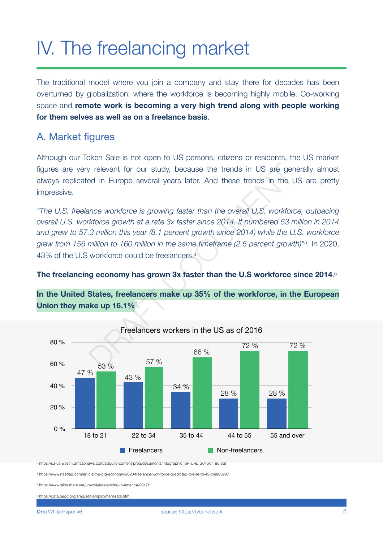# IV. The freelancing market

The traditional model where you join a company and stay there for decades has been overturned by globalization; where the workforce is becoming highly mobile. Co-working space and **remote work is becoming a very high trend along with people working for them selves as well as on a freelance basis**.

### A. Market figures

Although our Token Sale is not open to US persons, citizens or residents, the US market figures are very relevant for our study, because the trends in US are generally almost always replicated in Europe several years later. And these trends in the US are pretty impressive.

*"The U.S. freelance workforce is growing faster than the overall U.S. workforce, outpacing overall U.S. workforce growth at a rate 3x faster since 2014. It numbered 53 million in 2014 and grew to 57.3 million this year (8.1 percent growth since 2014) while the U.S. workforce grew from 156 million to 160 million in the same timeframe (2.6 percent growth)*"<sup>[3](#page-7-0)</sup>. In 2020, 43% of the U.S workforce could be freelancers.4 [F](#page-7-3)reelvant for our study, because the trends in US are general in Europe several years later. And these trends in the U<br>
ince workforce is growing faster than the overall U.S. workforce<br>
that a rate 3x faster since 2014. I

### <span id="page-7-6"></span><span id="page-7-5"></span><span id="page-7-4"></span>**The freelancing economy has grown 3x faster than the U.S workforce since 2014**. [5](#page-7-2)

**In the United States, freelancers make up 35% of the workforce, in the European Union they make up 16.1%**<sup>6</sup>.

<span id="page-7-7"></span>

<span id="page-7-0"></span>[3](#page-7-4) [https://s3-us-west-1.amazonaws.com/adquiro-content-prod/documents/Infographic\\_UP-URL\\_2040x1180.pdf](https://s3-us-west-1.amazonaws.com/adquiro-content-prod/documents/Infographic_UP-URL_2040x1180.pdf)

<span id="page-7-1"></span>[4](#page-7-5) <https://www.nasdaq.com/article/the-gig-economy-2020-freelance-workforce-predicted-to-rise-to-43-cm803297>

<span id="page-7-2"></span>[5](#page-7-6) <https://www.slideshare.net/upwork/freelancing-in-america-2017/1>

<span id="page-7-3"></span>[6](#page-7-7) <https://data.oecd.org/emp/self-employment-rate.htm>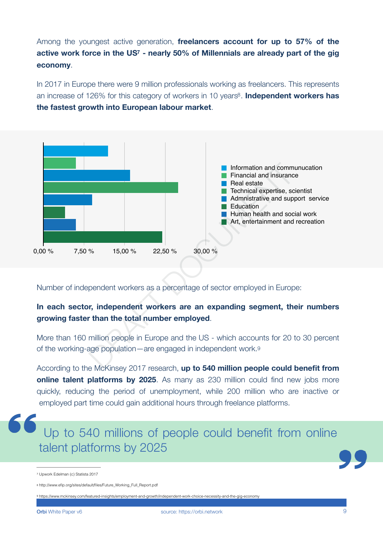<span id="page-8-3"></span>Among the youngest active generation, **freelancers account for up to 57% of the**  active work force in the US<sup>[7](#page-8-0)</sup> - nearly 50% of Millennials are already part of the gig **economy**.

<span id="page-8-4"></span>In 2017 in Europe there were 9 million professionals working as freelancers. This represents an increase of 126% for this category of workers in 10 years<sup>[8](#page-8-1)</sup>. **Independent workers has the fastest growth into European labour market**.



Number of independent workers as a percentage of sector employed in Europe:

### **In each sector, independent workers are an expanding segment, their numbers growing faster than the total number employed**.

More than 160 million people in Europe and the US - which accounts for 20 to 30 percent of the working-age population—are engaged in independent work.9

According to the McKinsey 2017 research, **up to 540 million people could benefit from online talent platforms by 2025**. As many as 230 million could find new jobs more quickly, reducing the period of unemployment, while 200 million who are inactive or employed part time could gain additional hours through freelance platforms.



<span id="page-8-5"></span>

<span id="page-8-2"></span>[9](#page-8-5) <https://www.mckinsey.com/featured-insights/employment-and-growth/independent-work-choice-necessity-and-the-gig-economy>

<span id="page-8-0"></span>[<sup>7</sup>](#page-8-3) Upwork Edelman (c) Statista 2017

<span id="page-8-1"></span>[<sup>8</sup>](#page-8-4) [http://www.efip.org/sites/default/files/Future\\_Working\\_Full\\_Report.pdf](http://www.efip.org/sites/default/files/Future_Working_Full_Report.pdf)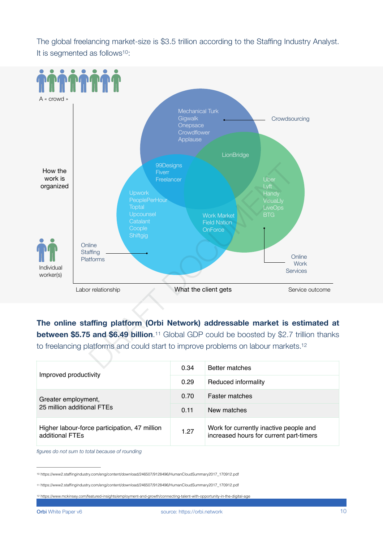<span id="page-9-3"></span>The global freelancing market-size is \$3.5 trillion according to the Staffing Industry Analyst. It is segmented as follows $10$ :



<span id="page-9-5"></span><span id="page-9-4"></span>**The online staffing platform (Orbi Network) addressable market is estimated at between \$5.75 and \$6.49 billion.**<sup>11</sup> Global GDP could be boosted by \$2.7 trillion thanks to freelancing platforms and could start to improve problems on labour markets[.12](#page-9-2)

| Improved productivity                                            | 0.34 | <b>Better matches</b>                                                             |
|------------------------------------------------------------------|------|-----------------------------------------------------------------------------------|
|                                                                  | 0.29 | Reduced informality                                                               |
| Greater employment,<br>25 million additional FTEs                | 0.70 | <b>Faster matches</b>                                                             |
|                                                                  | 0.11 | New matches                                                                       |
| Higher labour-force participation, 47 million<br>additional FTEs | 1.27 | Work for currently inactive people and<br>increased hours for current part-timers |

*figures do not sum to total because of rounding*

<span id="page-9-0"></span>[<sup>10</sup>](#page-9-3) [https://www2.staffingindustry.com/eng/content/download/246507/9128496/HumanCloudSummary2017\\_170912.pdf](https://www2.staffingindustry.com/eng/content/download/246507/9128496/HumanCloudSummary2017_170912.pdf)

<span id="page-9-1"></span>[<sup>11</sup>](#page-9-4) [https://www2.staffingindustry.com/eng/content/download/246507/9128496/HumanCloudSummary2017\\_170912.pdf](https://www2.staffingindustry.com/eng/content/download/246507/9128496/HumanCloudSummary2017_170912.pdf)

<span id="page-9-2"></span>[<sup>12</sup>](#page-9-5) <https://www.mckinsey.com/featured-insights/employment-and-growth/connecting-talent-with-opportunity-in-the-digital-age>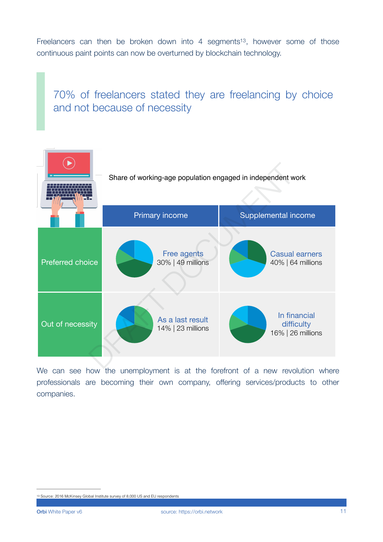Freelancers can then be broken down into 4 segments<sup>[13](#page-10-0)</sup>, however some of those continuous paint points can now be overturned by blockchain technology.

<span id="page-10-1"></span>70% of freelancers stated they are freelancing by choice and not because of necessity



We can see how the unemployment is at the forefront of a new revolution where professionals are becoming their own company, offering services/products to other companies.

<span id="page-10-0"></span>[<sup>13</sup>](#page-10-1) Source: 2016 McKinsey Global Institute survey of 8,000 US and EU respondents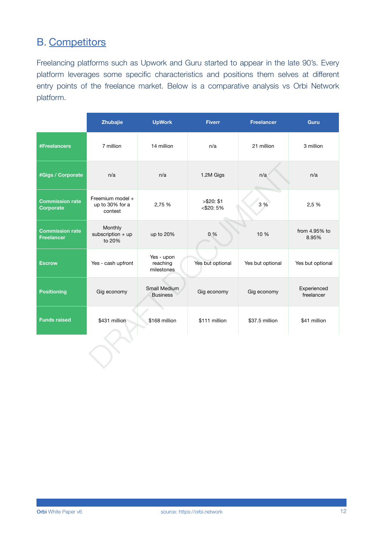### B. Competitors

Freelancing platforms such as Upwork and Guru started to appear in the late 90's. Every platform leverages some specific characteristics and positions them selves at different entry points of the freelance market. Below is a comparative analysis vs Orbi Network platform.

|                                             | Zhubajie                                       | <b>UpWork</b>                        | <b>Fiverr</b>              | <b>Freelancer</b> | <b>Guru</b>               |
|---------------------------------------------|------------------------------------------------|--------------------------------------|----------------------------|-------------------|---------------------------|
| <b>#Freelancers</b>                         | 7 million                                      | 14 million                           | n/a                        | 21 million        | 3 million                 |
| #Gigs / Corporate                           | n/a                                            | n/a                                  | 1.2M Gigs                  | n/a               | n/a                       |
| <b>Commission rate</b><br><b>Corporate</b>  | Freemium model +<br>up to 30% for a<br>contest | 2,75 %                               | > \$20: \$1<br>$<$ \$20:5% | 3 %               | 2,5 %                     |
| <b>Commission rate</b><br><b>Freelancer</b> | Monthly<br>subscription $+$ up<br>to 20%       | up to 20%                            | 0%                         | 10 %              | from 4.95% to<br>8.95%    |
| <b>Escrow</b>                               | Yes - cash upfront                             | Yes - upon<br>reaching<br>milestones | Yes but optional           | Yes but optional  | Yes but optional          |
| <b>Positioning</b>                          | Gig economy                                    | Small Medium<br><b>Business</b>      | Gig economy                | Gig economy       | Experienced<br>freelancer |
| <b>Funds raised</b>                         | \$431 million                                  | \$168 million                        | \$111 million              | \$37.5 million    | \$41 million              |
|                                             |                                                |                                      |                            |                   |                           |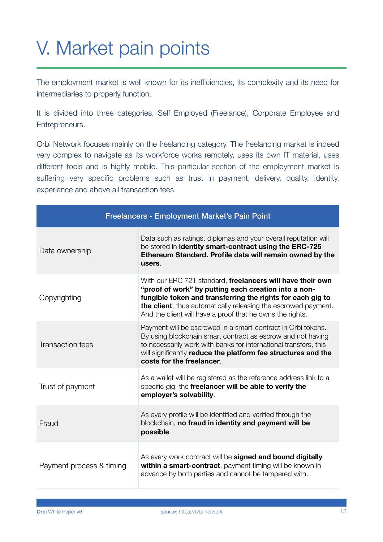# V. Market pain points

The employment market is well known for its inefficiencies, its complexity and its need for intermediaries to properly function.

It is divided into three categories, Self Employed (Freelance), Corporate Employee and Entrepreneurs.

Orbi Network focuses mainly on the freelancing category. The freelancing market is indeed very complex to navigate as its workforce works remotely, uses its own IT material, uses different tools and is highly mobile. This particular section of the employment market is suffering very specific problems such as trust in payment, delivery, quality, identity, experience and above all transaction fees.

| Freelancers - Employment Market's Pain Point |                                                                                                                                                                                                                                                                                                                 |  |
|----------------------------------------------|-----------------------------------------------------------------------------------------------------------------------------------------------------------------------------------------------------------------------------------------------------------------------------------------------------------------|--|
| Data ownership                               | Data such as ratings, diplomas and your overall reputation will<br>be stored in identity smart-contract using the ERC-725<br>Ethereum Standard. Profile data will remain owned by the<br>users.                                                                                                                 |  |
| Copyrighting                                 | With our ERC 721 standard, freelancers will have their own<br>"proof of work" by putting each creation into a non-<br>fungible token and transferring the rights for each gig to<br>the client, thus automatically releasing the escrowed payment.<br>And the client will have a proof that he owns the rights. |  |
| <b>Transaction fees</b>                      | Payment will be escrowed in a smart-contract in Orbi tokens.<br>By using blockchain smart contract as escrow and not having<br>to necessarily work with banks for international transfers, this<br>will significantly reduce the platform fee structures and the<br>costs for the freelancer.                   |  |
| Trust of payment                             | As a wallet will be registered as the reference address link to a<br>specific gig, the freelancer will be able to verify the<br>employer's solvability.                                                                                                                                                         |  |
| Fraud                                        | As every profile will be identified and verified through the<br>blockchain, no fraud in identity and payment will be<br>possible.                                                                                                                                                                               |  |
| Payment process & timing                     | As every work contract will be signed and bound digitally<br>within a smart-contract, payment timing will be known in<br>advance by both parties and cannot be tampered with.                                                                                                                                   |  |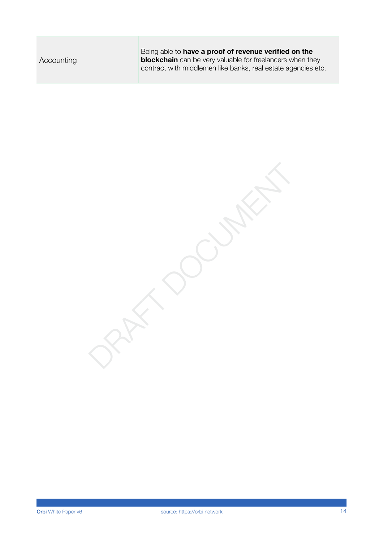Being able to **have a proof of revenue verified on the blockchain** can be very valuable for freelancers when they contract with middlemen like banks, real estate agencies etc.

PART DOCUMENT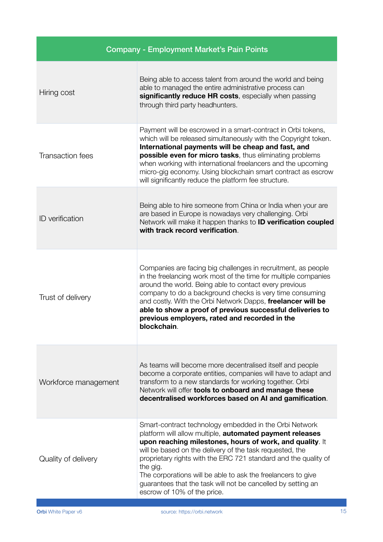| <b>Company - Employment Market's Pain Points</b> |                                                                                                                                                                                                                                                                                                                                                                                                                                                                                          |
|--------------------------------------------------|------------------------------------------------------------------------------------------------------------------------------------------------------------------------------------------------------------------------------------------------------------------------------------------------------------------------------------------------------------------------------------------------------------------------------------------------------------------------------------------|
| Hiring cost                                      | Being able to access talent from around the world and being<br>able to managed the entire administrative process can<br>significantly reduce HR costs, especially when passing<br>through third party headhunters.                                                                                                                                                                                                                                                                       |
| <b>Transaction fees</b>                          | Payment will be escrowed in a smart-contract in Orbi tokens,<br>which will be released simultaneously with the Copyright token.<br>International payments will be cheap and fast, and<br>possible even for micro tasks, thus eliminating problems<br>when working with international freelancers and the upcoming<br>micro-gig economy. Using blockchain smart contract as escrow<br>will significantly reduce the platform fee structure.                                               |
| <b>ID</b> verification                           | Being able to hire someone from China or India when your are<br>are based in Europe is nowadays very challenging. Orbi<br>Network will make it happen thanks to <b>ID verification coupled</b><br>with track record verification.                                                                                                                                                                                                                                                        |
| Trust of delivery                                | Companies are facing big challenges in recruitment, as people<br>in the freelancing work most of the time for multiple companies<br>around the world. Being able to contact every previous<br>company to do a background checks is very time consuming<br>and costly. With the Orbi Network Dapps, freelancer will be<br>able to show a proof of previous successful deliveries to<br>previous employers, rated and recorded in the<br>blockchain.                                       |
| Workforce management                             | As teams will become more decentralised itself and people<br>become a corporate entities, companies will have to adapt and<br>transform to a new standards for working together. Orbi<br>Network will offer tools to onboard and manage these<br>decentralised workforces based on AI and gamification.                                                                                                                                                                                  |
| Quality of delivery                              | Smart-contract technology embedded in the Orbi Network<br>platform will allow multiple, automated payment releases<br>upon reaching milestones, hours of work, and quality. It<br>will be based on the delivery of the task requested, the<br>proprietary rights with the ERC 721 standard and the quality of<br>the gig.<br>The corporations will be able to ask the freelancers to give<br>guarantees that the task will not be cancelled by setting an<br>escrow of 10% of the price. |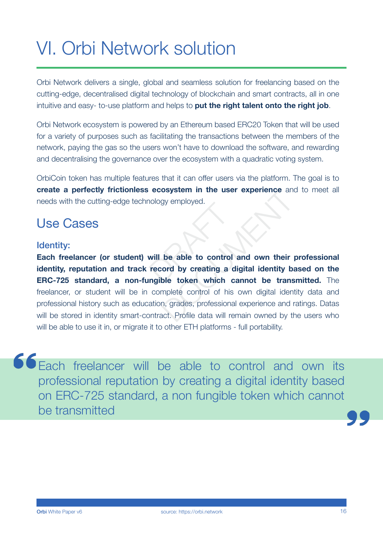## VI. Orbi Network solution

Orbi Network delivers a single, global and seamless solution for freelancing based on the cutting-edge, decentralised digital technology of blockchain and smart contracts, all in one intuitive and easy- to-use platform and helps to **put the right talent onto the right job**.

Orbi Network ecosystem is powered by an Ethereum based ERC20 Token that will be used for a variety of purposes such as facilitating the transactions between the members of the network, paying the gas so the users won't have to download the software, and rewarding and decentralising the governance over the ecosystem with a quadratic voting system.

OrbiCoin token has multiple features that it can offer users via the platform. The goal is to **create a perfectly frictionless ecosystem in the user experience** and to meet all needs with the cutting-edge technology employed.

## Use Cases

### Identity:

**Each freelancer (or student) will be able to control and own their professional identity, reputation and track record by creating a digital identity based on the ERC-725 standard, a non-fungible token which cannot be transmitted.** The freelancer, or student will be in complete control of his own digital identity data and professional history such as education, grades, professional experience and ratings. Datas will be stored in identity smart-contract. Profile data will remain owned by the users who will be able to use it in, or migrate it to other ETH platforms - full portability. Notogy employed.<br>
Will be able to control<br>
record by creating a d<br>
ngible token which ca osystem in the user experience and<br>gy employed.<br>be able to control and own their pord by creating a digital identity bable token which cannot be trans<br>mplete control of his own digital identity,<br>n, grades, professional exp

**66** Each freelancer will be able to control and own its professional reputation by creating a digital identity based on ERC-725 standard, a non fungible token which cannot be transmitted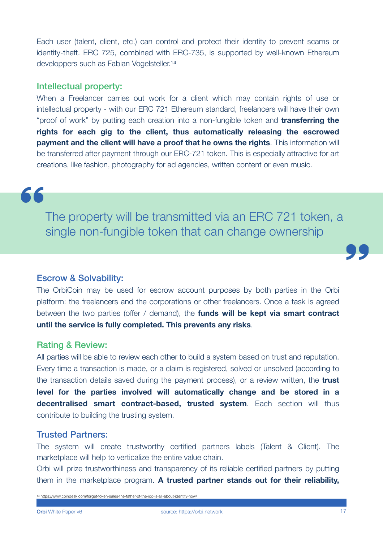<span id="page-16-1"></span>Each user (talent, client, etc.) can control and protect their identity to prevent scams or identity-theft. ERC 725, combined with ERC-735, is supported by well-known Ethereum developpers such as Fabian Vogelsteller[.14](#page-16-0)

### Intellectual property:

When a Freelancer carries out work for a client which may contain rights of use or intellectual property - with our ERC 721 Ethereum standard, freelancers will have their own "proof of work" by putting each creation into a non-fungible token and **transferring the rights for each gig to the client, thus automatically releasing the escrowed payment and the client will have a proof that he owns the rights**. This information will be transferred after payment through our ERC-721 token. This is especially attractive for art creations, like fashion, photography for ad agencies, written content or even music.

66

The property will be transmitted via an ERC 721 token, a single non-fungible token that can change ownership

### Escrow & Solvability:

The OrbiCoin may be used for escrow account purposes by both parties in the Orbi platform: the freelancers and the corporations or other freelancers. Once a task is agreed between the two parties (offer / demand), the **funds will be kept via smart contract until the service is fully completed. This prevents any risks**.

#### Rating & Review:

All parties will be able to review each other to build a system based on trust and reputation. Every time a transaction is made, or a claim is registered, solved or unsolved (according to the transaction details saved during the payment process), or a review written, the **trust level for the parties involved will automatically change and be stored in a decentralised smart contract-based, trusted system**. Each section will thus contribute to building the trusting system.

### Trusted Partners:

The system will create trustworthy certified partners labels (Talent & Client). The marketplace will help to verticalize the entire value chain.

Orbi will prize trustworthiness and transparency of its reliable certified partners by putting them in the marketplace program. **A trusted partner stands out for their reliability,** 

<span id="page-16-0"></span>[14](#page-16-1) https://www.coindesk.com/forget-token-sales-the-father-of-the-ico-is-all-about-identity-now/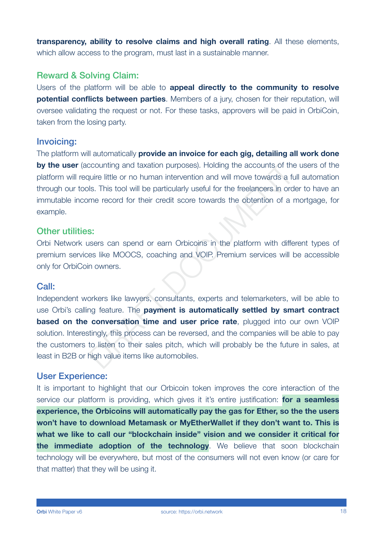**transparency, ability to resolve claims and high overall rating**. All these elements, which allow access to the program, must last in a sustainable manner.

### Reward & Solving Claim:

Users of the platform will be able to **appeal directly to the community to resolve potential conflicts between parties**. Members of a jury, chosen for their reputation, will oversee validating the request or not. For these tasks, approvers will be paid in OrbiCoin, taken from the losing party.

### Invoicing:

The platform will automatically **provide an invoice for each gig, detailing all work done by the user** (accounting and taxation purposes). Holding the accounts of the users of the platform will require little or no human intervention and will move towards a full automation through our tools. This tool will be particularly useful for the freelancers in order to have an immutable income record for their credit score towards the obtention of a mortgage, for example.

### Other utilities:

Orbi Network users can spend or earn Orbicoins in the platform with different types of premium services like MOOCS, coaching and VOIP. Premium services will be accessible only for OrbiCoin owners.

### Call:

Independent workers like lawyers, consultants, experts and telemarketers, will be able to use Orbi's calling feature. The **payment is automatically settled by smart contract based on the conversation time and user price rate**, plugged into our own VOIP solution. Interestingly, this process can be reversed, and the companies will be able to pay the customers to listen to their sales pitch, which will probably be the future in sales, at least in B2B or high value items like automobiles. counting and taxation purposes). Holding the accounts of the<br>quire little or no human intervention and will move towards a fuls.<br>This tool will be particularly useful for the freelancers in ord<br>me record for their credit s

### User Experience:

It is important to highlight that our Orbicoin token improves the core interaction of the service our platform is providing, which gives it it's entire justification: **for a seamless experience, the Orbicoins will automatically pay the gas for Ether, so the the users won't have to download Metamask or MyEtherWallet if they don't want to. This is what we like to call our "blockchain inside" vision and we consider it critical for the immediate adoption of the technology**. We believe that soon blockchain technology will be everywhere, but most of the consumers will not even know (or care for that matter) that they will be using it.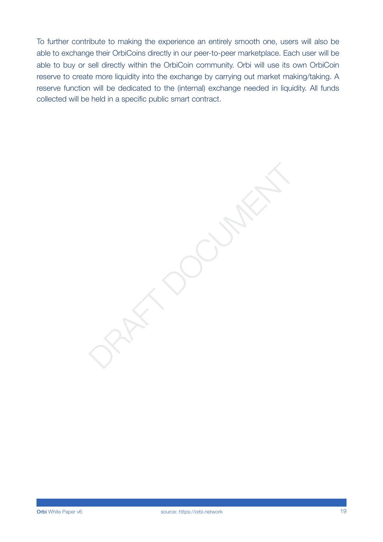To further contribute to making the experience an entirely smooth one, users will also be able to exchange their OrbiCoins directly in our peer-to-peer marketplace. Each user will be able to buy or sell directly within the OrbiCoin community. Orbi will use its own OrbiCoin reserve to create more liquidity into the exchange by carrying out market making/taking. A reserve function will be dedicated to the (internal) exchange needed in liquidity. All funds collected will be held in a specific public smart contract.

PART DOCUMENT